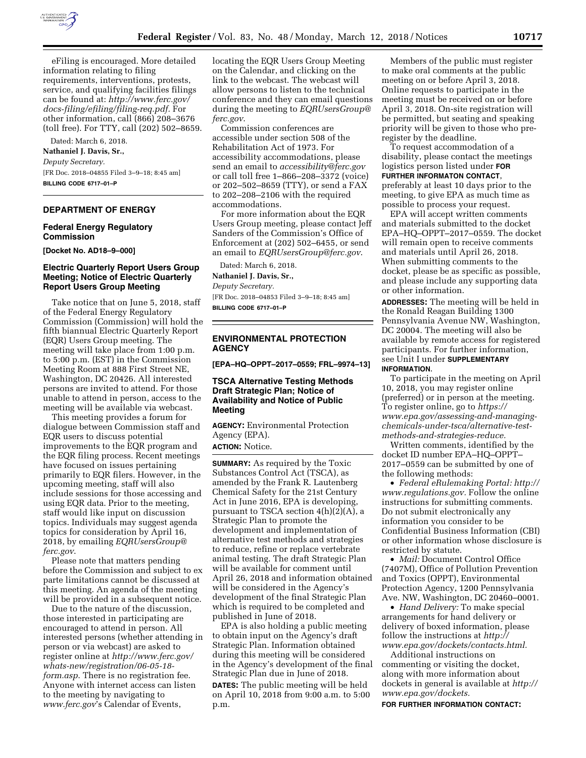

eFiling is encouraged. More detailed information relating to filing requirements, interventions, protests, service, and qualifying facilities filings can be found at: *[http://www.ferc.gov/](http://www.ferc.gov/docs-filing/efiling/filing-req.pdf)  [docs-filing/efiling/filing-req.pdf.](http://www.ferc.gov/docs-filing/efiling/filing-req.pdf)* For other information, call (866) 208–3676 (toll free). For TTY, call (202) 502–8659.

Dated: March 6, 2018.

**Nathaniel J. Davis, Sr.,** 

*Deputy Secretary.*  [FR Doc. 2018–04855 Filed 3–9–18; 8:45 am] **BILLING CODE 6717–01–P** 

# **DEPARTMENT OF ENERGY**

# **Federal Energy Regulatory Commission**

**[Docket No. AD18–9–000]** 

# **Electric Quarterly Report Users Group Meeting; Notice of Electric Quarterly Report Users Group Meeting**

Take notice that on June 5, 2018, staff of the Federal Energy Regulatory Commission (Commission) will hold the fifth biannual Electric Quarterly Report (EQR) Users Group meeting. The meeting will take place from 1:00 p.m. to 5:00 p.m. (EST) in the Commission Meeting Room at 888 First Street NE, Washington, DC 20426. All interested persons are invited to attend. For those unable to attend in person, access to the meeting will be available via webcast.

This meeting provides a forum for dialogue between Commission staff and EQR users to discuss potential improvements to the EQR program and the EQR filing process. Recent meetings have focused on issues pertaining primarily to EQR filers. However, in the upcoming meeting, staff will also include sessions for those accessing and using EQR data. Prior to the meeting, staff would like input on discussion topics. Individuals may suggest agenda topics for consideration by April 16, 2018, by emailing *[EQRUsersGroup@](mailto:EQRUsersGroup@ferc.gov) [ferc.gov](mailto:EQRUsersGroup@ferc.gov)*.

Please note that matters pending before the Commission and subject to ex parte limitations cannot be discussed at this meeting. An agenda of the meeting will be provided in a subsequent notice.

Due to the nature of the discussion, those interested in participating are encouraged to attend in person. All interested persons (whether attending in person or via webcast) are asked to register online at *[http://www.ferc.gov/](http://www.ferc.gov/whats-new/registration/06-05-18-form.asp) [whats-new/registration/06-05-18](http://www.ferc.gov/whats-new/registration/06-05-18-form.asp) [form.asp](http://www.ferc.gov/whats-new/registration/06-05-18-form.asp)*. There is no registration fee. Anyone with internet access can listen to the meeting by navigating to *[www.ferc.gov](http://www.ferc.gov)*'s Calendar of Events,

locating the EQR Users Group Meeting on the Calendar, and clicking on the link to the webcast. The webcast will allow persons to listen to the technical conference and they can email questions during the meeting to *[EQRUsersGroup@](mailto:EQRUsersGroup@ferc.gov) [ferc.gov](mailto:EQRUsersGroup@ferc.gov)*.

Commission conferences are accessible under section 508 of the Rehabilitation Act of 1973. For accessibility accommodations, please send an email to *[accessibility@ferc.gov](mailto:accessibility@ferc.gov)*  or call toll free 1–866–208–3372 (voice) or 202–502–8659 (TTY), or send a FAX to 202–208–2106 with the required accommodations.

For more information about the EQR Users Group meeting, please contact Jeff Sanders of the Commission's Office of Enforcement at (202) 502–6455, or send an email to *[EQRUsersGroup@ferc.gov](mailto:EQRUsersGroup@ferc.gov)*.

Dated: March 6, 2018.

**Nathaniel J. Davis, Sr.,**  *Deputy Secretary.*  [FR Doc. 2018–04853 Filed 3–9–18; 8:45 am] **BILLING CODE 6717–01–P** 

**ENVIRONMENTAL PROTECTION AGENCY** 

**[EPA–HQ–OPPT–2017–0559; FRL–9974–13]** 

## **TSCA Alternative Testing Methods Draft Strategic Plan; Notice of Availability and Notice of Public Meeting**

**AGENCY:** Environmental Protection Agency (EPA).

**ACTION:** Notice.

**SUMMARY:** As required by the Toxic Substances Control Act (TSCA), as amended by the Frank R. Lautenberg Chemical Safety for the 21st Century Act in June 2016, EPA is developing, pursuant to TSCA section 4(h)(2)(A), a Strategic Plan to promote the development and implementation of alternative test methods and strategies to reduce, refine or replace vertebrate animal testing. The draft Strategic Plan will be available for comment until April 26, 2018 and information obtained will be considered in the Agency's development of the final Strategic Plan which is required to be completed and published in June of 2018.

EPA is also holding a public meeting to obtain input on the Agency's draft Strategic Plan. Information obtained during this meeting will be considered in the Agency's development of the final Strategic Plan due in June of 2018. **DATES:** The public meeting will be held on April 10, 2018 from 9:00 a.m. to 5:00 p.m.

Members of the public must register to make oral comments at the public meeting on or before April 3, 2018. Online requests to participate in the meeting must be received on or before April 3, 2018. On-site registration will be permitted, but seating and speaking priority will be given to those who preregister by the deadline.

To request accommodation of a disability, please contact the meetings logistics person listed under **FOR FURTHER INFORMATON CONTACT**, preferably at least 10 days prior to the meeting, to give EPA as much time as possible to process your request.

EPA will accept written comments and materials submitted to the docket EPA–HQ–OPPT–2017–0559. The docket will remain open to receive comments and materials until April 26, 2018. When submitting comments to the docket, please be as specific as possible, and please include any supporting data or other information.

**ADDRESSES:** The meeting will be held in the Ronald Reagan Building 1300 Pennsylvania Avenue NW, Washington, DC 20004. The meeting will also be available by remote access for registered participants. For further information, see Unit I under **SUPPLEMENTARY INFORMATION**.

To participate in the meeting on April 10, 2018, you may register online (preferred) or in person at the meeting. To register online, go to *[https://](https://www.epa.gov/assessing-and-managing-chemicals-under-tsca/alternative-test-methods-and-strategies-reduce) [www.epa.gov/assessing-and-managing](https://www.epa.gov/assessing-and-managing-chemicals-under-tsca/alternative-test-methods-and-strategies-reduce)[chemicals-under-tsca/alternative-test](https://www.epa.gov/assessing-and-managing-chemicals-under-tsca/alternative-test-methods-and-strategies-reduce)[methods-and-strategies-reduce.](https://www.epa.gov/assessing-and-managing-chemicals-under-tsca/alternative-test-methods-and-strategies-reduce)* 

Written comments, identified by the docket ID number EPA–HQ–OPPT– 2017–0559 can be submitted by one of the following methods:

• *Federal eRulemaking Portal: [http://](http://www.regulations.gov)  [www.regulations.gov.](http://www.regulations.gov)* Follow the online instructions for submitting comments. Do not submit electronically any information you consider to be Confidential Business Information (CBI) or other information whose disclosure is restricted by statute.

• *Mail:* Document Control Office (7407M), Office of Pollution Prevention and Toxics (OPPT), Environmental Protection Agency, 1200 Pennsylvania Ave. NW, Washington, DC 20460–0001.

• *Hand Delivery:* To make special arrangements for hand delivery or delivery of boxed information, please follow the instructions at *[http://](http://www.epa.gov/dockets/contacts.html)  [www.epa.gov/dockets/contacts.html.](http://www.epa.gov/dockets/contacts.html)* 

Additional instructions on commenting or visiting the docket, along with more information about dockets in general is available at *[http://](http://www.epa.gov/dockets)  [www.epa.gov/dockets.](http://www.epa.gov/dockets)* 

**FOR FURTHER INFORMATION CONTACT:**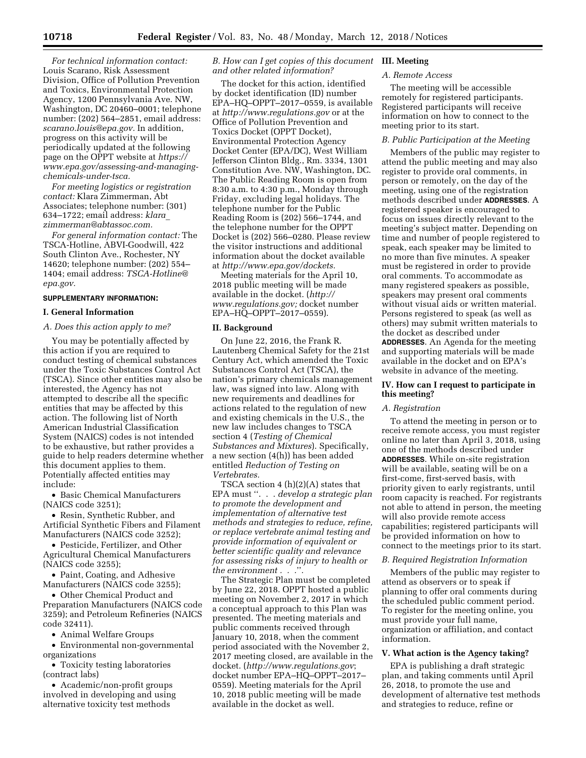*For technical information contact:*  Louis Scarano, Risk Assessment Division, Office of Pollution Prevention and Toxics, Environmental Protection Agency, 1200 Pennsylvania Ave. NW, Washington, DC 20460–0001; telephone number: (202) 564–2851, email address: *[scarano.louis@epa.gov.](mailto:scarano.louis@epa.gov)* In addition, progress on this activity will be periodically updated at the following page on the OPPT website at *[https://](https://www.epa.gov/assessing-and-managing-chemicals-under-tsca) [www.epa.gov/assessing-and-managing](https://www.epa.gov/assessing-and-managing-chemicals-under-tsca)[chemicals-under-tsca.](https://www.epa.gov/assessing-and-managing-chemicals-under-tsca)* 

*For meeting logistics or registration contact:* Klara Zimmerman, Abt Associates; telephone number: (301) 634–1722; email address: *[klara](mailto:klara_zimmerman@abtassoc.com)*\_ *[zimmerman@abtassoc.com.](mailto:klara_zimmerman@abtassoc.com)* 

*For general information contact:* The TSCA-Hotline, ABVI-Goodwill, 422 South Clinton Ave., Rochester, NY 14620; telephone number: (202) 554– 1404; email address: *[TSCA-Hotline@](mailto:TSCA-Hotline@epa.gov) [epa.gov.](mailto:TSCA-Hotline@epa.gov)* 

## **SUPPLEMENTARY INFORMATION:**

#### **I. General Information**

# *A. Does this action apply to me?*

You may be potentially affected by this action if you are required to conduct testing of chemical substances under the Toxic Substances Control Act (TSCA). Since other entities may also be interested, the Agency has not attempted to describe all the specific entities that may be affected by this action. The following list of North American Industrial Classification System (NAICS) codes is not intended to be exhaustive, but rather provides a guide to help readers determine whether this document applies to them. Potentially affected entities may include:

• Basic Chemical Manufacturers (NAICS code 3251);

• Resin, Synthetic Rubber, and Artificial Synthetic Fibers and Filament Manufacturers (NAICS code 3252);

• Pesticide, Fertilizer, and Other Agricultural Chemical Manufacturers (NAICS code 3255);

• Paint, Coating, and Adhesive Manufacturers (NAICS code 3255);

• Other Chemical Product and Preparation Manufacturers (NAICS code 3259); and Petroleum Refineries (NAICS code 32411).

• Animal Welfare Groups

• Environmental non-governmental organizations

• Toxicity testing laboratories (contract labs)

• Academic/non-profit groups involved in developing and using alternative toxicity test methods

## *B. How can I get copies of this document*  **III. Meeting**  *and other related information?*

The docket for this action, identified by docket identification (ID) number EPA–HQ–OPPT–2017–0559, is available at *<http://www.regulations.gov>* or at the Office of Pollution Prevention and Toxics Docket (OPPT Docket), Environmental Protection Agency Docket Center (EPA/DC), West William Jefferson Clinton Bldg., Rm. 3334, 1301 Constitution Ave. NW, Washington, DC. The Public Reading Room is open from 8:30 a.m. to 4:30 p.m., Monday through Friday, excluding legal holidays. The telephone number for the Public Reading Room is (202) 566–1744, and the telephone number for the OPPT Docket is (202) 566–0280. Please review the visitor instructions and additional information about the docket available at *[http://www.epa.gov/dockets.](http://www.epa.gov/dockets)* 

Meeting materials for the April 10, 2018 public meeting will be made available in the docket. (*[http://](http://www.regulations.gov) [www.regulations.gov;](http://www.regulations.gov)* docket number EPA–HQ–OPPT–2017–0559).

#### **II. Background**

On June 22, 2016, the Frank R. Lautenberg Chemical Safety for the 21st Century Act, which amended the Toxic Substances Control Act (TSCA), the nation's primary chemicals management law, was signed into law. Along with new requirements and deadlines for actions related to the regulation of new and existing chemicals in the U.S., the new law includes changes to TSCA section 4 (*Testing of Chemical Substances and Mixtures*). Specifically, a new section (4(h)) has been added entitled *Reduction of Testing on Vertebrates.* 

TSCA section 4 (h)(2)(A) states that EPA must ''. . . *develop a strategic plan to promote the development and implementation of alternative test methods and strategies to reduce, refine, or replace vertebrate animal testing and provide information of equivalent or better scientific quality and relevance for assessing risks of injury to health or the environment . . .*''*.* 

The Strategic Plan must be completed by June 22, 2018. OPPT hosted a public meeting on November 2, 2017 in which a conceptual approach to this Plan was presented. The meeting materials and public comments received through January 10, 2018, when the comment period associated with the November 2, 2017 meeting closed, are available in the docket. (*<http://www.regulations.gov>*; docket number EPA–HQ–OPPT–2017– 0559). Meeting materials for the April 10, 2018 public meeting will be made available in the docket as well.

## *A. Remote Access*

The meeting will be accessible remotely for registered participants. Registered participants will receive information on how to connect to the meeting prior to its start.

# *B. Public Participation at the Meeting*

Members of the public may register to attend the public meeting and may also register to provide oral comments, in person or remotely, on the day of the meeting, using one of the registration methods described under **ADDRESSES**. A registered speaker is encouraged to focus on issues directly relevant to the meeting's subject matter. Depending on time and number of people registered to speak, each speaker may be limited to no more than five minutes. A speaker must be registered in order to provide oral comments. To accommodate as many registered speakers as possible, speakers may present oral comments without visual aids or written material. Persons registered to speak (as well as others) may submit written materials to the docket as described under **ADDRESSES**. An Agenda for the meeting and supporting materials will be made available in the docket and on EPA's website in advance of the meeting.

## **IV. How can I request to participate in this meeting?**

## *A. Registration*

To attend the meeting in person or to receive remote access, you must register online no later than April 3, 2018, using one of the methods described under **ADDRESSES**. While on-site registration will be available, seating will be on a first-come, first-served basis, with priority given to early registrants, until room capacity is reached. For registrants not able to attend in person, the meeting will also provide remote access capabilities; registered participants will be provided information on how to connect to the meetings prior to its start.

#### *B. Required Registration Information*

Members of the public may register to attend as observers or to speak if planning to offer oral comments during the scheduled public comment period. To register for the meeting online, you must provide your full name, organization or affiliation, and contact information.

## **V. What action is the Agency taking?**

EPA is publishing a draft strategic plan, and taking comments until April 26, 2018, to promote the use and development of alternative test methods and strategies to reduce, refine or